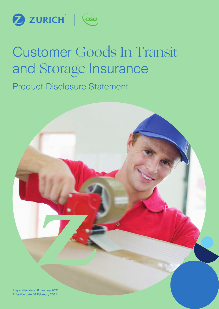

# Customer Goods In Transit and Storage Insurance

Product Disclosure Statement

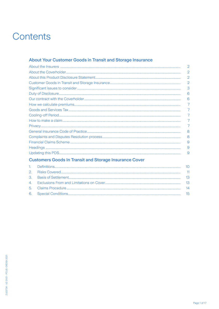## Contents

### About Your Customer Goods in Transit and Storage Insurance

|                                                                                                                                                                                                                                | 2              |
|--------------------------------------------------------------------------------------------------------------------------------------------------------------------------------------------------------------------------------|----------------|
|                                                                                                                                                                                                                                | $\overline{2}$ |
|                                                                                                                                                                                                                                | 2              |
|                                                                                                                                                                                                                                | 2              |
|                                                                                                                                                                                                                                | 3              |
|                                                                                                                                                                                                                                | 6              |
|                                                                                                                                                                                                                                | 6              |
|                                                                                                                                                                                                                                |                |
|                                                                                                                                                                                                                                |                |
|                                                                                                                                                                                                                                |                |
| A discrete discrete distribution of the contract of the contract of the contract of the contract of the contract of the contract of the contract of the contract of the contract of the contract of the contract of the contra | 7              |
|                                                                                                                                                                                                                                | 7              |
|                                                                                                                                                                                                                                | 8              |
|                                                                                                                                                                                                                                | 8              |
|                                                                                                                                                                                                                                | 9              |
|                                                                                                                                                                                                                                | 9              |
|                                                                                                                                                                                                                                | 9              |

### **Customers Goods In Transit and Storage Insurance Cover**

|  | -13 |
|--|-----|
|  | -13 |
|  | 14  |
|  | 15  |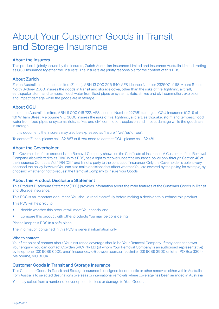# About Your Customer Goods in Transit and Storage Insurance

#### About the Insurers

This product is jointly issued by the Insurers, Zurich Australian Insurance Limited and Insurance Australia Limited trading as CGU Insurance together the 'insurers'. The insurers are jointly responsible for the content of this PDS.

#### About Zurich

Zurich Australian Insurance Limited (Zurich), ABN 13 000 296 640, AFS Licence Number 232507 of 118 Mount Street, North Sydney 2060, insures the goods in transit and storage cover, other than the risks of fire, lightning, aircraft, earthquake, storm and tempest, flood, water from fixed pipes or systems, riots, strikes and civil commotion, explosion and impact damage while the goods are in storage.

#### About CGU

Insurance Australia Limited, ABN 11 000 016 722, AFS Licence Number 227681 trading as CGU Insurance (CGU) of 181 William Street Melbourne VIC 3000 insures the risks of fire, lightning, aircraft, earthquake, storm and tempest, flood, water from fixed pipes or systems, riots, strikes and civil commotion, explosion and impact damage while the goods are in storage.

In this document, the Insurers may also be expressed as 'Insurer', 'we', 'us' or 'our'.

To contact Zurich, please call 132 687 or if You need to contact CGU, please call 132 481.

#### About the Coverholder

The Coverholder of this product is the Removal Company shown on the Certificate of Insurance. A Customer of the Removal Company, also referred to as "You" in this PDS, has a right to recover under the insurance policy only through Section 48 of the Insurance Contracts Act 1984 (Cth) and is not a party to the contract of insurance. Only the Coverholder is able to vary or cancel the policy, however You can also make decisions that affect whether You are covered by the policy, for example, by choosing whether or not to request the Removal Company to insure Your Goods.

#### About this Product Disclosure Statement

This Product Disclosure Statement (PDS) provides information about the main features of the Customer Goods in Transit and Storage Insurance.

This PDS is an important document. You should read it carefully before making a decision to purchase this product.

This PDS will help You to:

- decide whether this product will meet Your needs; and
- compare this product with other products You may be considering.

Please keep this PDS in a safe place.

The information contained in this PDS is general information only.

#### Who to contact

Your first point of contact about Your insurance coverage should be Your Removal Company. If they cannot answer Your enquiry, You can contact Cowden (VIC) Pty Ltd (of whom Your Removal Company is an authorised representative) by telephone (03) 9686 6500, email insurance.vic@cowden.com.au, facsimile (03) 9686 3900 or letter PO Box 33044, Melbourne, VIC 3004.

#### Customer Goods in Transit and Storage Insurance

This Customer Goods in Transit and Storage Insurance is designed for domestic or other removals either within Australia, from Australia to selected destinations overseas or international removals where coverage has been arranged in Australia.

You may select from a number of cover options for loss or damage to Your Goods.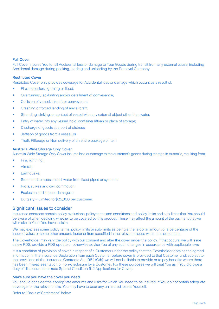#### Full Cover

Full Cover insures You for all Accidental loss or damage to Your Goods during transit from any external cause, including Accidental damage during packing, loading and unloading by the Removal Company.

#### Restricted Cover

Restricted Cover only provides coverage for Accidental loss or damage which occurs as a result of:

- Fire, explosion, lightning or flood;
- Overturning, jackknifing and/or derailment of conveyance;
- Collision of vessel, aircraft or conveyance;
- Crashing or forced landing of any aircraft;
- Stranding, sinking, or contact of vessel with any external object other than water;
- Entry of water into any vessel, hold, container liftvan or place of storage;
- Discharge of goods at a port of distress:
- Jettison of goods from a vessel; or
- Theft, Pilferage or Non delivery of an entire package or item.

#### Australia Wide Storage Only Cover

Australia Wide Storage Only Cover insures loss or damage to the customer's goods during storage in Australia, resulting from:

- Fire, lightning;
- Aircraft;
- Earthquake:
- Storm and tempest, flood, water from fixed pipes or systems;
- Riots, strikes and civil commotion;
- Explosion and impact damage; or
- Burglary Limited to \$25,000 per customer.

#### Significant issues to consider

Insurance contracts contain policy exclusions, policy terms and conditions and policy limits and sub-limits that You should be aware of when deciding whether to be covered by this product. These may affect the amount of the payment that we will make to You if You have a claim.

We may express some policy terms, policy limits or sub-limits as being either a dollar amount or a percentage of the insured value, or some other amount, factor or item specified in the relevant clause within this document.

The Coverholder may vary the policy with our consent and alter the cover under the policy. If that occurs, we will issue a new PDS, provide a PDS update or otherwise advise You of any such changes in accordance with applicable laws.

It is a condition of provision of cover in respect of a Customer under the policy that the Coverholder obtains the agreed information in the Insurance Declaration from each Customer before cover is provided to that Customer and, subject to the provisions of the Insurance Contracts Act 1984 (Cth), we will not be liable to provide or to pay benefits where there has been misrepresentation or non-disclosure by a Customer. For these purposes we will treat You as if You did owe a duty of disclosure to us (see Special Condition 6.12 Applications for Cover).

#### Make sure you have the cover you need

You should consider the appropriate amounts and risks for which You need to be insured. If You do not obtain adequate coverage for the relevant risks, You may have to bear any uninsured losses Yourself.

Refer to "Basis of Settlement" below.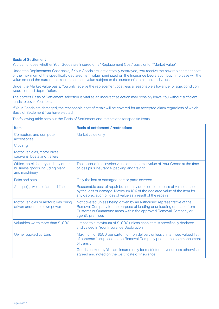#### Basis of Settlement

You can choose whether Your Goods are insured on a "Replacement Cost" basis or for "Market Value".

Under the Replacement Cost basis, if Your Goods are lost or totally destroyed, You receive the new replacement cost or the maximum of the specifically declared item value nominated on the Insurance Declaration but in no case will the value exceed the current market replacement value subject to the customer's total declared value.

Under the Market Value basis, You only receive the replacement cost less a reasonable allowance for age, condition wear, tear and depreciation.

The correct Basis of Settlement selection is vital as an incorrect selection may possibly leave You without sufficient funds to cover Your loss.

If Your Goods are damaged, the reasonable cost of repair will be covered for an accepted claim regardless of which Basis of Settlement You have elected.

The following table sets out the Basis of Settlement and restrictions for specific items:

| <b>Item</b>                                                                             | <b>Basis of settlement / restrictions</b>                                                                                                                                                                                                  |
|-----------------------------------------------------------------------------------------|--------------------------------------------------------------------------------------------------------------------------------------------------------------------------------------------------------------------------------------------|
| Computers and computer<br>accessories                                                   | Market value only                                                                                                                                                                                                                          |
| Clothing                                                                                |                                                                                                                                                                                                                                            |
| Motor vehicles, motor bikes,<br>caravans, boats and trailers                            |                                                                                                                                                                                                                                            |
| Office, hotel, factory and any other<br>business goods including plant<br>and machinery | The lesser of the invoice value or the market value of Your Goods at the time<br>of loss plus insurance, packing and freight                                                                                                               |
| Pairs and sets                                                                          | Only the lost or damaged part or parts covered                                                                                                                                                                                             |
| Antique(s), works of art and fine art                                                   | Reasonable cost of repair but not any depreciation or loss of value caused<br>by the loss or damage. Maximum 10% of the declared value of the item for<br>any depreciation or loss of value as a result of the repairs                     |
| Motor vehicles or motor bikes being<br>driven under their own power                     | Not covered unless being driven by an authorised representative of the<br>Removal Company for the purpose of loading or unloading or to and from<br>Customs or Quarantine areas within the approved Removal Company or<br>agent's premises |
| Valuables worth more than \$1,000                                                       | Limited to a maximum of \$1,000 unless each item is specifically declared<br>and valued in Your Insurance Declaration                                                                                                                      |
| Owner packed cartons                                                                    | Maximum of \$500 per carton for non delivery unless an itemised valued list<br>of contents is supplied to the Removal Company prior to the commencement<br>of transit.                                                                     |
|                                                                                         | Goods packed by You are insured only for restricted cover unless otherwise<br>agreed and noted on the Certificate of Insurance                                                                                                             |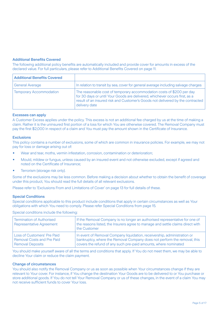#### Additional Benefits Covered

The following additional policy benefits are automatically included and provide cover for amounts in excess of the declared value. For full particulars, please refer to Additional Benefits Covered on page 11.

| <b>Additional Benefits Covered</b> |                                                                                                                                                                                                                                                         |
|------------------------------------|---------------------------------------------------------------------------------------------------------------------------------------------------------------------------------------------------------------------------------------------------------|
| <b>General Average</b>             | In relation to transit by sea, cover for general average including salvage charges                                                                                                                                                                      |
| <b>Temporary Accommodation</b>     | The reasonable cost of temporary accommodation costs of \$200 per day<br>for 30 days or until Your Goods are delivered, whichever occurs first, as a<br>result of an insured risk and Customer's Goods not delivered by the contracted<br>delivery date |

#### Excesses can apply

A Customer Excess applies under the policy. This excess is not an additional fee charged by us at the time of making a claim. Rather it is the uninsured first portion of a loss for which You are otherwise covered. The Removal Company must pay the first \$2,000 in respect of a claim and You must pay the amount shown in the Certificate of Insurance.

#### **Exclusions**

This policy contains a number of exclusions, some of which are common in insurance policies. For example, we may not pay for loss or damage arising out of:

- Wear and tear, moths, vermin infestation, corrosion, contamination or deterioration;
- Mould, mildew or fungus, unless caused by an insured event and not otherwise excluded, except if agreed and noted on the Certificate of Insurance;
- Terrorism (storage risk only).

Some of the exclusions may be less common. Before making a decision about whether to obtain the benefit of coverage under this product, You should read the full details of all relevant exclusions.

Please refer to 'Exclusions From and Limitations of Cover' on page 13 for full details of these.

#### Special Conditions

Special conditions applicable to this product include conditions that apply in certain circumstances as well as Your obligations with which You need to comply. Please refer Special Conditions from page 15.

Special conditions include the following:

| <b>Termination of Authorised</b><br><b>Representative Agreement</b> | If the Removal Company is no longer an authorised representative for one of<br>the reasons listed, the Insurers agree to manage and settle claims direct with<br>the Customer |
|---------------------------------------------------------------------|-------------------------------------------------------------------------------------------------------------------------------------------------------------------------------|
| Loss of Customers' Pre Paid                                         | In event of Removal Company liquidation, receivership, administration or                                                                                                      |
| <b>Removal Costs and Pre Paid</b>                                   | bankruptcy, where the Removal Company does not perform the removal, this                                                                                                      |
| <b>Removal Deposits</b>                                             | covers the refund of any such pre-paid amounts, where nominated                                                                                                               |

You should make yourself aware of all the terms and conditions that apply. If You do not meet them, we may be able to decline Your claim or reduce the claim payment.

#### Change of circumstances

You should also notify the Removal Company or us as soon as possible when Your circumstances change if they are relevant to Your cover. For instance, if You change the destination Your Goods are to be delivered to or You purchase or store additional goods. If You do not tell Your Removal Company or us of these changes, in the event of a claim You may not receive sufficient funds to cover Your loss.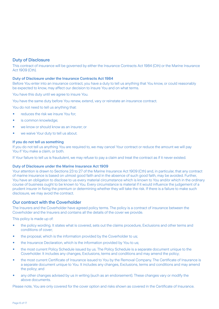#### Duty of Disclosure

This contract of insurance will be governed by either the Insurance Contracts Act 1984 (Cth) or the Marine Insurance Act 1909 (Cth).

#### Duty of Disclosure under the Insurance Contracts Act 1984

Before You enter into an insurance contract, you have a duty to tell us anything that You know, or could reasonably be expected to know, may affect our decision to insure You and on what terms.

You have this duty until we agree to insure You.

You have the same duty before You renew, extend, vary or reinstate an insurance contract.

You do not need to tell us anything that:

- reduces the risk we insure You for;
- is common knowledge;
- we know or should know as an insurer; or
- we waive Your duty to tell us about.

#### If you do not tell us something

If you do not tell us anything You are required to, we may cancel Your contract or reduce the amount we will pay You if You make a claim, or both.

If Your failure to tell us is fraudulent, we may refuse to pay a claim and treat the contract as if it never existed.

#### Duty of Disclosure under the Marine Insurance Act 1909

Your attention is drawn to Sections 23 to 27 of the Marine Insurance Act 1909 (Cth) and, in particular, that any contract of marine insurance is based on utmost good faith and in the absence of such good faith, may be avoided. Further, You have an obligation to disclose to us every material circumstance which is known to You and/or which in the ordinary course of business ought to be known to You. Every circumstance is material if it would influence the judgement of a prudent insurer in fixing the premium or determining whether they will take the risk. If there is a failure to make such disclosure, we may avoid the contract.

#### Our contract with the Coverholder

The Insurers and the Coverholder have agreed policy terms. The policy is a contract of insurance between the Coverholder and the Insurers and contains all the details of the cover we provide.

This policy is made up of:

- the policy wording. It states what is covered, sets out the claims procedure, Exclusions and other terms and conditions of cover;
- the proposal, which is the information provided by the Coverholder to us:
- the Insurance Declaration, which is the information provided by You to us;
- the most current Policy Schedule issued by us. The Policy Schedule is a separate document unique to the Coverholder. It includes any changes, Exclusions, terms and conditions and may amend the policy;
- the most current Certificate of Insurance issued to You by the Removal Company. The Certificate of Insurance is a separate document unique to You. It includes any changes, Exclusions, terms and conditions and may amend the policy; and
- any other changes advised by us in writing (such as an endorsement). These changes vary or modify the above documents.

Please note, You are only covered for the cover option and risks shown as covered in the Certificate of Insurance.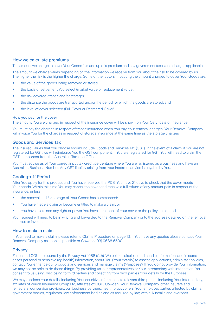#### How we calculate premiums

The amount we charge to cover Your Goods is made up of a premium and any government taxes and charges applicable.

The amount we charge varies depending on the information we receive from You about the risk to be covered by us. The higher the risk is the higher the charge. Some of the factors impacting the amount charged to cover Your Goods are:

- the value of the goods being removed or stored:
- the basis of settlement You select (market value or replacement value);
- the risk covered (transit and/or storage);
- the distance the goods are transported and/or the period for which the goods are stored; and
- the level of cover selected (Full Cover or Restricted Cover).

#### How you pay for the cover

The amount You are charged in respect of the insurance cover will be shown on Your Certificate of Insurance.

You must pay the charges in respect of transit insurance when You pay Your removal charges. Your Removal Company will invoice You for the charges in respect of storage insurance at the same time as the storage charges.

#### Goods and Services Tax

The insured values that You choose should include Goods and Services Tax (GST). In the event of a claim, if You are not registered for GST, we will reimburse You the GST component. If You are registered for GST, You will need to claim the GST component from the Australian Taxation Office.

You must advise us of Your correct input tax credit percentage where You are registered as a business and have an Australian Business Number. Any GST liability arising from Your incorrect advice is payable by You.

#### Cooling-off Period

After You apply for this product and You have received the PDS, You have 21 days to check that the cover meets Your needs. Within this time You may cancel the cover and receive a full refund of any amount paid in respect of the insurance, unless:

- the removal and /or storage of Your Goods has commenced:
- You have made a claim or become entitled to make a claim; or
- You have exercised any right or power You have in respect of Your cover or the policy has ended.

Your request will need to be in writing and forwarded to the Removal Company or to the address detailed on the removal contract or invoice.

#### How to make a claim

If You need to make a claim, please refer to Claims Procedure on page 13. If You have any queries please contact Your Removal Company as soon as possible or Cowden (03) 9686 6500.

#### **Privacy**

Zurich and CGU are bound by the Privacy Act 1988 (Cth). We collect, disclose and handle information, and in some cases personal or sensitive (eg health) information, about You ('Your details') to assess applications, administer policies, contact You, enhance our products and services and manage claims ('Purposes'). If You do not provide Your information, we may not be able to do those things. By providing us, our representatives or Your intermediary with information, You consent to us using, disclosing to third parties and collecting from third parties Your details for the Purposes.

We may disclose Your details, including Your sensitive information, to relevant third parties including Your intermediary, affiliates of Zurich Insurance Group Ltd, affiliates of CGU, Cowden, Your Removal Company, other insurers and reinsurers, our service providers, our business partners, health practitioners, Your employer, parties affected by claims, government bodies, regulators, law enforcement bodies and as required by law, within Australia and overseas.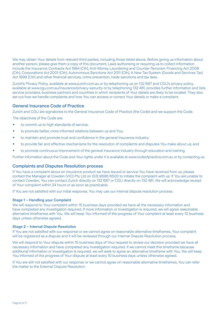We may obtain Your details from relevant third parties, including those listed above. Before giving us information about another person, please give them a copy of this document. Laws authorising or requiring us to collect information include the Insurance Contracts Act 1984 (Cth), Anti-Money Laundering and Counter-Terrorism Financing Act 2006 (Cth), Corporations Act 2001 (Cth), Autonomous Sanctions Act 2011 (Cth), A New Tax System (Goods and Services Tax) Act 1999 (Cth) and other financial services, crime prevention, trade sanctions and tax laws.

Zurich's Privacy Policy, available at www.zurich.com.au or by telephoning us on 132 687 and CGU's privacy policy, available at www.cgu.com.au/insurance/privacy-security or by telephoning 132 481, provides further information and lists service providers, business partners and countries in which recipients of Your details are likely to be located. They also set out how we handle complaints and how You can access or correct Your details or make a complaint.

#### General Insurance Code of Practice

Zurich and CGU are signatories to the General Insurance Code of Practice (the Code) and we support the Code.

The objectives of the Code are:

- to commit us to high standards of service;
- to promote better, more informed relations between us and You;
- to maintain and promote trust and confidence in the general insurance industry;
- to provide fair and effective mechanisms for the resolution of complaints and disputes You make about us; and
- to promote continuous improvement of the general insurance industry through education and training.

Further information about the Code and Your rights under it is available at www.codeofpractice.com.au or by contacting us.

#### Complaints and Disputes Resolution process

If You have a complaint about an insurance product we have issued or service You have received from us, please contact the Manager at Cowden (VIC) Pty Ltd on (03) 9686 6500 to initiate the complaint with us. If You are unable to contact Cowden, You can contact Zurich directly on 132 687 or CGU directly on 132 481. We will acknowledge receipt of Your complaint within 24 hours or as soon as practicable.

If You are not satisfied with our initial response, You may use our internal dispute resolution process.

#### Stage 1 – Handling your Complaint

We will respond to Your complaint within 15 business days provided we have all the necessary information and have completed any investigation required. If more information or investigation is required, we will agree reasonable alternative timeframes with You. We will keep You informed of the progress of Your complaint at least every 10 business days unless otherwise agreed.

#### Stage 2 – Internal Dispute Resolution

If You are not satisfied with our response or we cannot agree on reasonable alternative timeframes, Your complaint will be registered as a dispute and it will be reviewed through our Internal Dispute Resolution process.

We will respond to Your dispute within 15 business days of Your request to review our decision provided we have all necessary information and have completed any investigation required. If we cannot meet this timeframe because additional information or investigation is required, we will seek to agree an alternative timeframe with You. We will keep You informed of the progress of Your dispute at least every 10 business days unless otherwise agreed.

If You are still not satisfied with our response or we cannot agree on reasonable alternative timeframes, You can refer the matter to the External Dispute Resolution.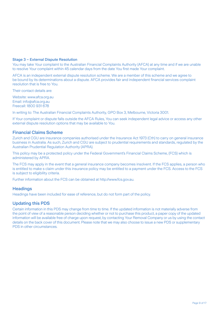#### Stage 3 – External Dispute Resolution

You may take Your complaint to the Australian Financial Complaints Authority (AFCA) at any time and if we are unable to resolve Your complaint within 45 calendar days from the date You first made Your complaint.

AFCA is an independent external dispute resolution scheme. We are a member of this scheme and we agree to be bound by its determinations about a dispute. AFCA provides fair and independent financial services complaint resolution that is free to You.

Their contact details are:

Website: www.afca.org.au Email: info@afca.org.au Freecall: 1800 931 678

In writing to: The Australian Financial Complaints Authority, GPO Box 3, Melbourne, Victoria 3001.

If Your complaint or dispute falls outside the AFCA Rules, You can seek independent legal advice or access any other external dispute resolution options that may be available to You.

#### Financial Claims Scheme

Zurich and CGU are insurance companies authorised under the Insurance Act 1973 (Cth) to carry on general insurance business in Australia. As such, Zurich and CGU are subject to prudential requirements and standards, regulated by the Australian Prudential Regulation Authority (APRA).

This policy may be a protected policy under the Federal Government's Financial Claims Scheme, (FCS) which is administered by APRA.

The FCS may apply in the event that a general insurance company becomes insolvent. If the FCS applies, a person who is entitled to make s claim under this insurance policy may be entitled to a payment under the FCS. Access to the FCS is subject to eligibility criteria.

Further information about the FCS can be obtained at http://www.fcs.gov.au.

#### **Headings**

Headings have been included for ease of reference, but do not form part of the policy.

#### Updating this PDS

Certain information in this PDS may change from time to time. If the updated information is not materially adverse from the point of view of a reasonable person deciding whether or not to purchase this product, a paper copy of the updated information will be available free of charge upon request, by contacting Your Removal Company or us by using the contact details on the back cover of this document. Please note that we may also choose to issue a new PDS or supplementary PDS in other circumstances.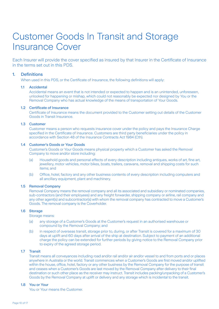### Customer Goods In Transit and Storage Insurance Cover

Each Insurer will provide the cover specified as insured by that Insurer in the Certificate of Insurance in the terms set out in this PDS.

#### 1. Definitions

When used in this PDS, or the Certificate of Insurance, the following definitions will apply:

#### 1.1 Accidental

 Accidental means an event that is not intended or expected to happen and is an unintended, unforeseen, unlooked for happening or mishap, which could not reasonably be expected nor designed by You or the Removal Company who has actual knowledge of the means of transportation of Your Goods.

#### 1.2 Certificate of Insurance

 Certificate of Insurance means the document provided to the Customer setting out details of the Customer Goods in Transit Insurance.

#### 1.3 Customer

 Customer means a person who requests insurance cover under the policy and pays the Insurance Charge specified in the Certificate of Insurance. Customers are third party beneficiaries under the policy in accordance with Section 48 of the Insurance Contracts Act 1984 (Cth).

#### 1.4 Customer's Goods or Your Goods

 Customer's Goods or Your Goods means physical property which a Customer has asked the Removal Company to move and/or store including:

- (a) Household goods and personal effects of every description including antiques, works of art, fine art, jewellery, motor vehicles, motor bikes, boats, trailers, caravans, removal and shipping costs for such items; and
- (b) Office, hotel, factory and any other business contents of every description including computers and all ancillary equipment, plant and machinery.

#### 1.5 Removal Company

 Removal Company means the removal company and all its associated and subsidiary or nominated companies, sub-contractors (and their employees) and any freight forwarder, shipping company or airline, rail company and any other agent(s) and subcontractor(s) with whom the removal company has contracted to move a Customer's Goods. The removal company is the Coverholder.

#### 1.6 Storage

Storage means:

- (a) any storage of a Customer's Goods at the Customer's request in an authorised warehouse or compound by the Removal Company; and
- (b) in respect of overseas transit, storage prior to, during, or after Transit is covered for a maximum of 30 days at uplift and 60 days after arrival of the ship at destination. Subject to payment of an additional charge the policy can be extended for further periods by giving notice to the Removal Company prior to expiry of the agreed storage period.

#### 1.7 Transit

 Transit means all conveyances including road and/or rail and/or air and/or vessel to and from ports and or places anywhere in Australia or the world. Transit commences when a Customer's Goods are first moved and/or uplifted within the house, office, hotel, factory or any other business by the Removal Company for the purpose of transit and ceases when a Customer's Goods are last moved by the Removal Company after delivery to their final destination or such other place as the receiver may instruct. Transit includes packing/unpacking of a Customer's Goods by the Removal Company at uplift or delivery and any storage which is incidental to the transit.

#### 1.8 You or Your

You or Your means the Customer.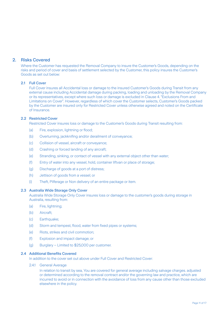#### 2. Risks Covered

Where the Customer has requested the Removal Company to insure the Customer's Goods, depending on the risks and period of cover and basis of settlement selected by the Customer, this policy insures the Customer's Goods as set out below:

#### 2.1 Full Cover

 Full Cover insures all Accidental loss or damage to the insured Customer's Goods during Transit from any external cause including Accidental damage during packing, loading and unloading by the Removal Company or its representatives, except where such loss or damage is excluded in Clause 4. "Exclusions From and Limitations on Cover". However, regardless of which cover the Customer selects, Customer's Goods packed by the Customer are insured only for Restricted Cover unless otherwise agreed and noted on the Certificate of Insurance.

#### 2.2 Restricted Cover

Restricted Cover insures loss or damage to the Customer's Goods during Transit resulting from:

- (a) Fire, explosion, lightning or flood;
- (b) Overturning, jackknifing and/or derailment of conveyance;
- (c) Collision of vessel, aircraft or conveyance;
- (d) Crashing or forced landing of any aircraft;
- (e) Stranding, sinking, or contact of vessel with any external object other than water;
- (f) Entry of water into any vessel, hold, container liftvan or place of storage;
- (g) Discharge of goods at a port of distress;
- (h) Jettison of goods from a vessel; or
- (i) Theft, Pilferage or Non delivery of an entire package or item.

#### 2.3 Australia Wide Storage Only Cover

 Australia Wide Storage Only Cover insures loss or damage to the customer's goods during storage in Australia, resulting from:

- (a) Fire, lightning;
- (b) Aircraft;
- (c) Earthquake:
- (d) Storm and tempest, flood, water from fixed pipes or systems;
- (e) Riots, strikes and civil commotion;
- (f) Explosion and impact damage; or
- (g) Burglary Limited to \$25,000 per customer.

#### 2.4 Additional Benefits Covered

In addition to the cover set out above under Full Cover and Restricted Cover:

2.4.1 General Average

 In relation to transit by sea, You are covered for general average including salvage charges. adjusted or determined according to the removal contract and/or the governing law and practice, which are incurred to avoid or in connection with the avoidance of loss from any cause other than those excluded elsewhere in the policy.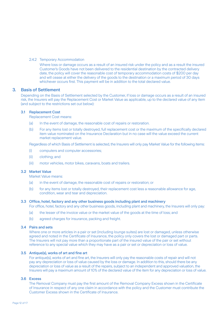#### 2.4.2 Temporary Accommodation

 Where loss or damage occurs as a result of an insured risk under the policy and as a result the insured Customer's Goods have not been delivered to the residential destination by the contracted delivery date, the policy will cover the reasonable cost of temporary accommodation costs of \$200 per day and will cease at either the delivery of the goods to the destination or a maximum period of 30 days whichever occurs first. This payment will be in addition to the total declared value.

#### 3. Basis of Settlement

Depending on the Basis of Settlement selected by the Customer, if loss or damage occurs as a result of an insured risk, the Insurers will pay the Replacement Cost or Market Value as applicable, up to the declared value of any item (and subject to the restrictions set out below):

#### 3.1 Replacement Cost

Replacement Cost means:

- (a) In the event of damage, the reasonable cost of repairs or restoration.
- (b) For any items lost or totally destroyed, full replacement cost or the maximum of the specifically declared item value nominated on the Insurance Declaration but in no case will the value exceed the current market replacement value.

Regardless of which Basis of Settlement is selected, the Insurers will only pay Market Value for the following items:

- (i) computers and computer accessories;
- (ii) clothing; and
- (iii) motor vehicles, motor bikes, caravans, boats and trailers.

#### 3.2 Market Value

Market Value means:

- (a) in the event of damage, the reasonable cost of repairs or restoration; or
- (b) for any items lost or totally destroyed, their replacement cost less a reasonable allowance for age, condition, wear and tear and depreciation.

#### 3.3 Office, hotel, factory and any other business goods including plant and machinery

For office, hotel, factory and any other business goods, including plant and machinery, the Insurers will only pay:

- (a) the lesser of the invoice value or the market value of the goods at the time of loss; and
- (b) agreed charges for insurance, packing and freight.

#### 3.4 Pairs and sets

 Where one or more articles in a pair or set (including lounge suites) are lost or damaged, unless otherwise agreed and noted in the Certificate of Insurance, the policy only covers the lost or damaged part or parts. The Insurers will not pay more than a proportionate part of the insured value of the pair or set without reference to any special value which they may have as a pair or set or depreciation or loss of value.

#### 3.5 Antique(s), works of art and fine art

 For antique(s), works of art and fine art, the Insurers will only pay the reasonable costs of repair and will not pay any depreciation or loss of value caused by the loss or damage. In addition to this, should there be any depreciation or loss of value as a result of the repairs, subject to an independent and approved valuation, the Insurers will pay a maximum amount of 10% of the declared value of the item for any depreciation or loss of value.

#### 3.6 Excess

 The Removal Company must pay the first amount of the Removal Company Excess shown in the Certificate of Insurance in respect of any one claim in accordance with the policy and the Customer must contribute the Customer Excess shown in the Certificate of Insurance.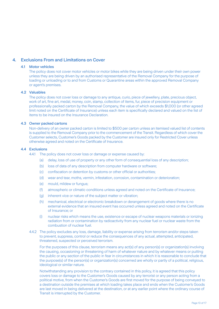#### 4. Exclusions From and Limitations on Cover

#### 4.1 Motor vehicles

 The policy does not cover motor vehicles or motor bikes while they are being driven under their own power unless they are being driven by an authorised representative of the Removal Company for the purpose of loading or unloading or to and from Customs or Quarantine areas within the approved Removal Company or agent's premises.

#### 4.2 Valuables

 The policy does not cover loss or damage to any antique, curio, piece of jewellery, plate, precious object, work of art, fine art, medal, money, coin, stamp, collection of items, fur, piece of precision equipment or professionally packed carton by the Removal Company, the value of which exceeds \$1,000 (or other agreed limit noted on the Certificate of Insurance) unless each item is specifically declared and valued on the list of items to be insured on the Insurance Declaration.

#### 4.3 Owner packed cartons

 Non-delivery of an owner packed carton is limited to \$500 per carton unless an itemised valued list of contents is supplied to the Removal Company prior to the commencement of the Transit. Regardless of which cover the Customer selects, Customer's Goods packed by the Customer are insured only for Restricted Cover unless otherwise agreed and noted on the Certificate of Insurance.

#### 4.4 Exclusions

4.4.1 The policy does not cover loss or damage or expense caused by:

- (a) delay, loss of use of property or any other form of consequential loss of any description;
- (b) loss of data of any description from computer hardware or software;
- (c) confiscation or detention by customs or other official or authorities;
- (d) wear and tear, moths, vermin, infestation, corrosion, contamination or deterioration;
- (e) mould, mildew or fungus;
- (f) atmospheric or climatic conditions unless agreed and noted on the Certificate of Insurance;
- (g) inherent vice or nature of the subject matter or vibration;
- (h) mechanical, electrical or electronic breakdown or derangement of goods where there is no external evidence that an insured event has occurred unless agreed and noted on the Certificate of Insurance; or
- (i) nuclear risks which means the use, existence or escape of nuclear weapons materials or ionizing radiation from or contamination by radioactivity from any nuclear fuel or nuclear waste from the combustion of nuclear fuel.
- 4.4.2 The policy excludes any loss, damage, liability or expense arising from terrorism and/or steps taken to prevent, suppress, control or reduce the consequences of any actual, attempted, anticipated, threatened, suspected or perceived terrorism.

 For the purposes of this clause, terrorism means any act(s) of any person(s) or organization(s) involving the causing, occasioning or threatening of harm of whatever nature and by whatever means or putting the public or any section of the public in fear in circumstances in which it is reasonable to conclude that the purpose(s) of the person(s) or organization(s) concerned are wholly or partly of a political, religious, ideological or similar nature.

 Notwithstanding any provision to the contrary contained in this policy, it is agreed that this policy covers loss or damage to the Customer's Goods caused by any terrorist or any person acting from a political motive, from when the Customer's Goods are first moved for the purpose of being conveyed to a destination outside the premises at which loading takes place and ends when the Customer's Goods are last moved in being delivered at the destination, or at any earlier point where the ordinary course of Transit is interrupted by the Customer.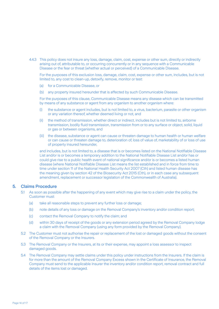4.4.3 This policy does not insure any loss, damage, claim, cost, expense or other sum, directly or indirectly arising out of, attributable to, or occurring concurrently or in any sequence with a Communicable Disease or the fear or threat (whether actual or perceived) of a Communicable Disease.

 For the purposes of this exclusion loss, damage, claim, cost, expense or other sum, includes, but is not limited to, any cost to clean-up, detoxify, remove, monitor or test:

- (a) for a Communicable Disease, or
- (b) any property insured hereunder that is affected by such Communicable Disease.

 For the purposes of this clause, Communicable Disease means any disease which can be transmitted by means of any substance or agent from any organism to another organism where:

- (i) the substance or agent includes, but is not limited to, a virus, bacterium, parasite or other organism or any variation thereof, whether deemed living or not, and
- (ii) the method of transmission, whether direct or indirect, includes but is not limited to, airborne transmission, bodily fluid transmission, transmission from or to any surface or object, solid, liquid or gas or between organisms, and
- (iii) the disease, substance or agent can cause or threaten damage to human health or human welfare or can cause or threaten damage to, deterioration of, loss of value of, marketability of or loss of use of property insured hereunder,

 and includes, but is not limited to, a disease that is or becomes listed on the National Notifiable Disease List and/or is or becomes a temporary addition to the National Notifiable Disease List and/or has or could give rise to a public health event of national significance and/or is or becomes a listed human disease (where National Notifiable Disease List means the list established and in force from time to time under section 11 of the National Health Security Act 2007 (Cth) and listed human disease has the meaning given by section 42 of the Biosecurity Act 2015 (Cth), or in each case any subsequent amendment, replacement or successor legislation of the Commonwealth of Australia).

#### 5. Claims Procedure

- 5.1 As soon as possible after the happening of any event which may give rise to a claim under the policy, the Customer must:
	- (a) take all reasonable steps to prevent any further loss or damage;
	- (b) note details of any loss or damage on the Removal Company's inventory and/or condition report;
	- (c) contact the Removal Company to notify the claim; and
	- (d) within 30 days of receipt of the goods or any extension period agreed by the Removal Company lodge a claim with the Removal Company (using any form provided by the Removal Company).
- 5.2 The Customer must not authorise the repair or replacement of the lost or damaged goods without the consent of the Removal Company or the Insurers.
- 5.3 The Removal Company or the Insurers, at its or their expense, may appoint a loss assessor to inspect damaged goods.
- 5.4 The Removal Company may settle claims under this policy under instructions from the Insurers. If the claim is for more than the amount of the Removal Company Excess shown in the Certificate of Insurance, the Removal Company must send to the applicable Insurer the inventory and/or condition report, removal contract and full details of the items lost or damaged.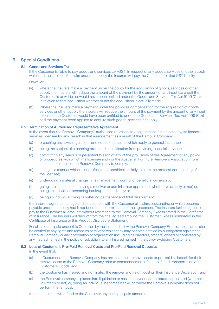#### 6. Special Conditions

#### 6.1 Goods and Services Tax

 If the Customer is liable to pay goods and services tax (GST) in respect of any goods, services or other supply which are the subject of a claim under the policy the Insurers will pay the Customer for that GST liability.

However:

- (a) where the Insurers make a payment under the policy for the acquisition of goods, services or other supply the Insurers will reduce the amount of the payment by the amount of any input tax credit the Customer is or will be or would have been entitled under the Goods and Services Tax Act 1999 (Cth) in relation to that acquisition whether or not the acquisition is actually made.
- (b) Where the Insurers make a payment under the policy as compensation for the acquisition of goods, services or other supply the Insurers will reduce the amount of the payment by the amount of any input tax credit the Customer would have been entitled to under the Goods and Services Tax Act 1999 (Cth) had the payment been applied to acquire such goods, services or supply.

#### 6.2 Termination of Authorised Representative Agreement

 In the event that the Removal Company's authorised representative agreement is terminated by its financial services licensee for any breach in that arrangement as a result of the Removal Company:

- (a) breaching any laws, regulations and codes of practice which apply to general insurance;
- (b) being the subject of a banning order or disqualification from providing financial services;
- (c) committing any serious or persistent breach of any of the provisions of this Agreement or any policy or procedures with which the licensee and / or the Australian Furniture Removers Association from time to time requires the Removal Company to comply;
- (d) acting in a manner which is unprofessional, unethical or likely to harm the professional standing of the licensee;
- (e) undergoing a material change in its management, control or beneficial ownership;
- (f) going into liquidation or having a receiver or administrator appointed (whether voluntarily or not) or, being an individual, becoming bankrupt- immediately; or
- (g) being an individual dying or suffering permanent and total disablement,

 the Insurers agree to manage and settle direct with the Customer all claims outstanding or which become payable under the policy had it not been for the termination of the agreement. The Insurers further agree to pay to the Customer all amounts without reference to the Removal Company Excess stated in the Certificate of Insurance. The Insurers will deduct from the final agreed amount, the Customer Excess nominated in the Certificate of Insurance or this Product Disclosure Statement.

 For all amounts paid under this Condition by the Insurers below the Removal Company Excess, the Insurers shall be entitled to any rights and remedies or relief to which they may become entitled by subrogation against the Removal Company or any corporation or organisation (including its directors, officers) owned or controlled by any Insured named in the policy or subsidiary to any Insured named in the policy excluding Customers.

#### 6.3 Loss of Customer's Pre-Paid Removal Costs and Pre-Paid Removal Deposits

In the event that:

- (a) a Customer of the Removal Company has pre-paid their removal costs or pre-paid a deposit for their removal costs to the Removal Company prior to commencement of the uplift and transportation of the Customer's Goods; and
- (b) the Customer has insured and nominated the removal and freight cost on their Insurance Declaration; and
- (c) the Removal company is placed into liquidation or has a receiver or administrator appointed (whether voluntarily or not) or, being an individual becomes bankrupt, where the Removal Company does not perform the removal,

then the Insurers will refund to the Customer any such pre-paid amounts.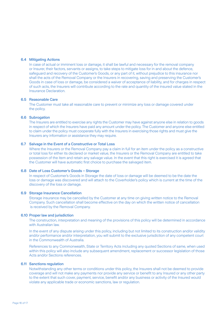#### 6.4 Mitigating Actions

 In case of actual or imminent loss or damage, it shall be lawful and necessary for the removal company or Insurer, their factors, servants or assigns, to take steps to mitigate loss for in and about the defence, safeguard and recovery of the Customer's Goods, or any part of it, without prejudice to this insurance nor shall the acts of the Removal Company or the Insurers in recovering, saving and preserving the Customer's Goods in case of loss or damage, be considered a waiver of acceptance of liability, and for charges in respect of such acts, the Insurers will contribute according to the rate and quantity of the insured value stated in the Insurance Declaration.

#### 6.5 Reasonable Care

 The Customer must take all reasonable care to prevent or minimize any loss or damage covered under the policy.

#### 6.6 Subrogation

 The Insurers are entitled to exercise any rights the Customer may have against anyone else in relation to goods in respect of which the Insurers have paid any amount under the policy. The Customer and anyone else entitled to claim under the policy must cooperate fully with the Insurers in exercising those rights and must give the Insurers any information or assistance they may require.

#### 6.7 Salvage in the Event of a Constructive or Total Loss

 Where the Insurers or the Removal Company pay a claim in full for an item under the policy as a constructive or total loss for either its declared or market value, the Insurers or the Removal Company are entitled to take possession of the item and retain any salvage value. In the event that this right is exercised it is agreed that the Customer will have automatic first choice to purchase the salvaged item.

#### 6.8 Date of Loss Customer's Goods – Storage

 In respect of Customer's Goods in Storage the date of loss or damage will be deemed to be the date the loss or damage was discovered and will attach to the Coverholder's policy which is current at the time of the discovery of the loss or damage.

#### 6.9 Storage Insurance Cancellation

 Storage insurance may be cancelled by the Customer at any time on giving written notice to the Removal Company. Such cancellation shall become effective on the day on which the written notice of cancellation is received by the Removal Company.

#### 6.10 Proper law and jurisdiction

 The construction, interpretation and meaning of the provisions of this policy will be determined in accordance with Australian law.

 In the event of any dispute arising under this policy, including but not limited to its construction and/or validity and/or performance and/or interpretation, you will submit to the exclusive jurisdiction of any competent court in the Commonwealth of Australia.

 References to any Commonwealth, State or Territory Acts including any quoted Sections of same, when used within this policy will also include any subsequent amendment, replacement or successor legislation of those Acts and/or Sections references.

#### 6.11 Sanctions regulation

 Notwithstanding any other terms or conditions under this policy, the Insurers shall not be deemed to provide coverage and will not make any payments nor provide any service or benefit to any Insured or any other party to the extent that such cover, payment, service, benefit and/or any business or activity of the Insured would violate any applicable trade or economic sanctions, law or regulation.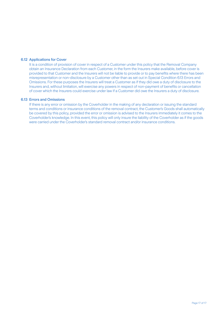#### 6.12 Applications for Cover

It is a condition of provision of cover in respect of a Customer under this policy that the Removal Company obtain an Insurance Declaration from each Customer, in the form the Insurers make available, before cover is provided to that Customer and the Insurers will not be liable to provide or to pay benefits where there has been misrepresentation or non-disclosure by a Customer other than as set out in Special Condition 6.13 Errors and Omissions. For these purposes the Insurers will treat a Customer as if they did owe a duty of disclosure to the Insurers and, without limitation, will exercise any powers in respect of non-payment of benefits or cancellation of cover which the Insurers could exercise under law if a Customer did owe the Insurers a duty of disclosure.

#### 6.13 Errors and Omissions

 If there is any error or omission by the Coverholder in the making of any declaration or issuing the standard terms and conditions or insurance conditions of the removal contract, the Customer's Goods shall automatically be covered by this policy, provided the error or omission is advised to the Insurers immediately it comes to the Coverholder's knowledge. In this event, this policy will only insure the liability of the Coverholder as if the goods were carried under the Coverholder's standard removal contract and/or insurance conditions.